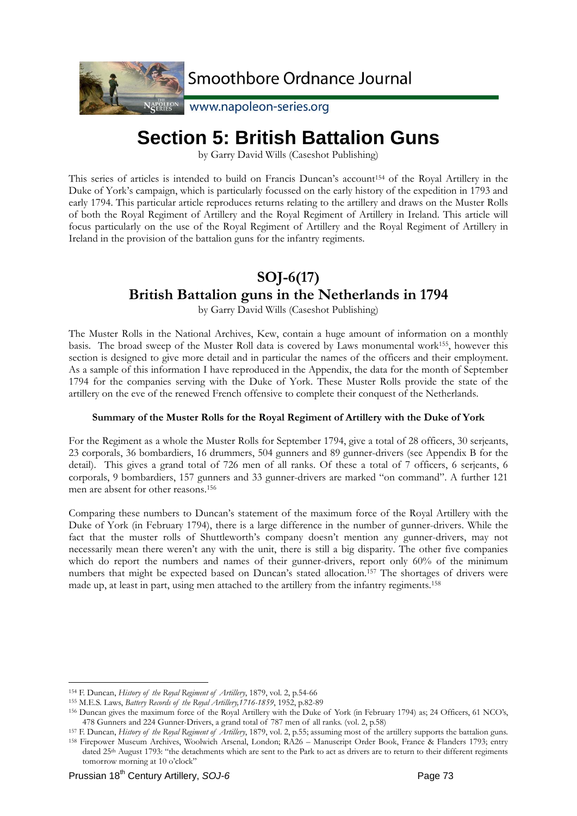

NAPOLEON WWW.napoleon-series.org

# **Section 5: British Battalion Guns**

by Garry David Wills (Caseshot Publishing)

This series of articles is intended to build on Francis Duncan's account<sup>154</sup> of the Royal Artillery in the Duke of York's campaign, which is particularly focussed on the early history of the expedition in 1793 and early 1794. This particular article reproduces returns relating to the artillery and draws on the Muster Rolls of both the Royal Regiment of Artillery and the Royal Regiment of Artillery in Ireland. This article will focus particularly on the use of the Royal Regiment of Artillery and the Royal Regiment of Artillery in Ireland in the provision of the battalion guns for the infantry regiments.

# **SOJ-6(17) British Battalion guns in the Netherlands in 1794**

by Garry David Wills (Caseshot Publishing)

The Muster Rolls in the National Archives, Kew, contain a huge amount of information on a monthly basis. The broad sweep of the Muster Roll data is covered by Laws monumental work155, however this section is designed to give more detail and in particular the names of the officers and their employment. As a sample of this information I have reproduced in the Appendix, the data for the month of September 1794 for the companies serving with the Duke of York. These Muster Rolls provide the state of the artillery on the eve of the renewed French offensive to complete their conquest of the Netherlands.

### **Summary of the Muster Rolls for the Royal Regiment of Artillery with the Duke of York**

For the Regiment as a whole the Muster Rolls for September 1794, give a total of 28 officers, 30 serjeants, 23 corporals, 36 bombardiers, 16 drummers, 504 gunners and 89 gunner-drivers (see Appendix B for the detail). This gives a grand total of 726 men of all ranks. Of these a total of 7 officers, 6 serjeants, 6 corporals, 9 bombardiers, 157 gunners and 33 gunner-drivers are marked "on command". A further 121 men are absent for other reasons.156

Comparing these numbers to Duncan's statement of the maximum force of the Royal Artillery with the Duke of York (in February 1794), there is a large difference in the number of gunner-drivers. While the fact that the muster rolls of Shuttleworth's company doesn't mention any gunner-drivers, may not necessarily mean there weren't any with the unit, there is still a big disparity. The other five companies which do report the numbers and names of their gunner-drivers, report only 60% of the minimum numbers that might be expected based on Duncan's stated allocation.157 The shortages of drivers were made up, at least in part, using men attached to the artillery from the infantry regiments.158

<sup>157</sup> F. Duncan, *History of the Royal Regiment of Artillery*, 1879, vol. 2, p.55; assuming most of the artillery supports the battalion guns.<br><sup>158</sup> Firepower Museum Archives, Woolwich Arsenal, London; RA26 – Manuscript Or

<sup>&</sup>lt;sup>154</sup> F. Duncan, *History of the Royal Regiment of Artillery*, 1879, vol. 2, p.54-66<br><sup>155</sup> M.E.S. Laws, *Battery Records of the Royal Artillery*, 1716-1859, 1952, p.82-89<br><sup>156</sup> Duncan gives the maximum force of the Royal A

dated 25th August 1793: "the detachments which are sent to the Park to act as drivers are to return to their different regiments tomorrow morning at 10 o'clock"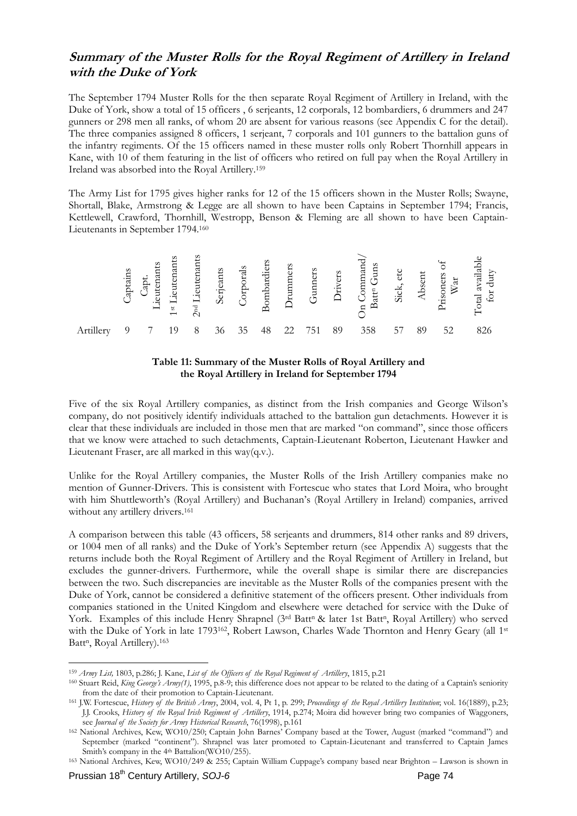### **Summary of the Muster Rolls for the Royal Regiment of Artillery in Ireland with the Duke of York**

The September 1794 Muster Rolls for the then separate Royal Regiment of Artillery in Ireland, with the Duke of York, show a total of 15 officers , 6 serjeants, 12 corporals, 12 bombardiers, 6 drummers and 247 gunners or 298 men all ranks, of whom 20 are absent for various reasons (see Appendix C for the detail). The three companies assigned 8 officers, 1 serjeant, 7 corporals and 101 gunners to the battalion guns of the infantry regiments. Of the 15 officers named in these muster rolls only Robert Thornhill appears in Kane, with 10 of them featuring in the list of officers who retired on full pay when the Royal Artillery in Ireland was absorbed into the Royal Artillery.159

The Army List for 1795 gives higher ranks for 12 of the 15 officers shown in the Muster Rolls; Swayne, Shortall, Blake, Armstrong & Legge are all shown to have been Captains in September 1794; Francis, Kettlewell, Crawford, Thornhill, Westropp, Benson & Fleming are all shown to have been Captain-Lieutenants in September 1794.160





Five of the six Royal Artillery companies, as distinct from the Irish companies and George Wilson's company, do not positively identify individuals attached to the battalion gun detachments. However it is clear that these individuals are included in those men that are marked "on command", since those officers that we know were attached to such detachments, Captain-Lieutenant Roberton, Lieutenant Hawker and Lieutenant Fraser, are all marked in this way(q.v.).

Unlike for the Royal Artillery companies, the Muster Rolls of the Irish Artillery companies make no mention of Gunner-Drivers. This is consistent with Fortescue who states that Lord Moira, who brought with him Shuttleworth's (Royal Artillery) and Buchanan's (Royal Artillery in Ireland) companies, arrived without any artillery drivers.<sup>161</sup>

A comparison between this table (43 officers, 58 serjeants and drummers, 814 other ranks and 89 drivers, or 1004 men of all ranks) and the Duke of York's September return (see Appendix A) suggests that the returns include both the Royal Regiment of Artillery and the Royal Regiment of Artillery in Ireland, but excludes the gunner-drivers. Furthermore, while the overall shape is similar there are discrepancies between the two. Such discrepancies are inevitable as the Muster Rolls of the companies present with the Duke of York, cannot be considered a definitive statement of the officers present. Other individuals from companies stationed in the United Kingdom and elsewhere were detached for service with the Duke of York. Examples of this include Henry Shrapnel (3rd Batt<sup>n</sup> & later 1st Batt<sup>n</sup>, Royal Artillery) who served with the Duke of York in late 1793<sup>162</sup>, Robert Lawson, Charles Wade Thornton and Henry Geary (all 1st Batt<sup>n</sup>, Royal Artillery).<sup>163</sup>

<sup>&</sup>lt;sup>159</sup> Army List, 1803, p.286; J. Kane, List of the Officers of the Royal Regiment of Artillery, 1815, p.21<br><sup>160</sup> Stuart Reid, King George's Army(1), 1995, p.8-9; this difference does not appear to be related to the dating

from the date of their promotion to Captain-Lieutenant. 161 J.W. Fortescue, *History of the British Army*, 2004, vol. 4, Pt 1, p. 299; *Proceedings of the Royal Artillery Institution*; vol. 16(1889), p.23; J.J. Crooks, *History of the Royal Irish Regiment of Artillery*, 1914, p.274; Moira did however bring two companies of Waggoners,

see *Journal of the Society for Army Historical Research*, 76(1998), p.161<br><sup>162</sup> National Archives, Kew, WO10/250; Captain John Barnes' Company based at the Tower, August (marked "command") and September (marked "continent"). Shrapnel was later promoted to Captain-Lieutenant and transferred to Captain James Smith's company in the 4<sup>th</sup> Battalion(WO10/255).

<sup>163</sup> National Archives, Kew, WO10/249 & 255; Captain William Cuppage's company based near Brighton – Lawson is shown in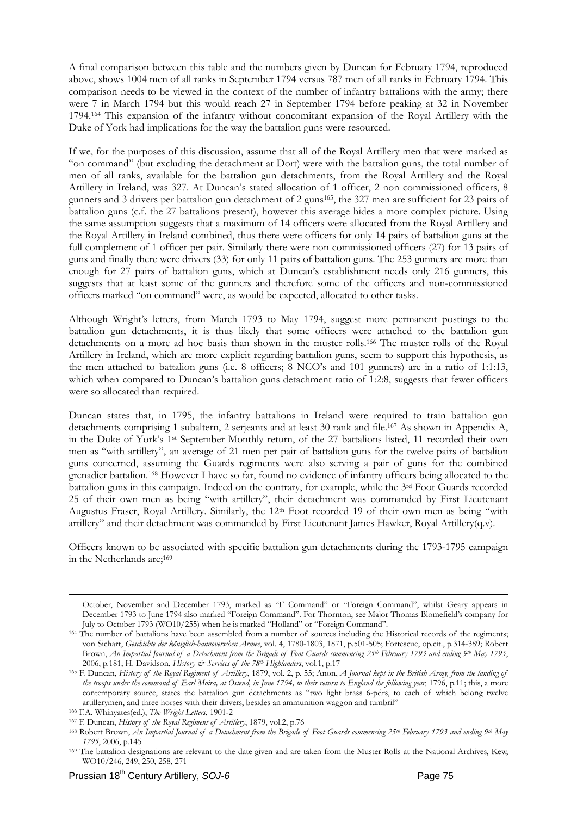A final comparison between this table and the numbers given by Duncan for February 1794, reproduced above, shows 1004 men of all ranks in September 1794 versus 787 men of all ranks in February 1794. This comparison needs to be viewed in the context of the number of infantry battalions with the army; there were 7 in March 1794 but this would reach 27 in September 1794 before peaking at 32 in November 1794.164 This expansion of the infantry without concomitant expansion of the Royal Artillery with the Duke of York had implications for the way the battalion guns were resourced.

If we, for the purposes of this discussion, assume that all of the Royal Artillery men that were marked as "on command" (but excluding the detachment at Dort) were with the battalion guns, the total number of men of all ranks, available for the battalion gun detachments, from the Royal Artillery and the Royal Artillery in Ireland, was 327. At Duncan's stated allocation of 1 officer, 2 non commissioned officers, 8 gunners and 3 drivers per battalion gun detachment of 2 guns165, the 327 men are sufficient for 23 pairs of battalion guns (c.f. the 27 battalions present), however this average hides a more complex picture. Using the same assumption suggests that a maximum of 14 officers were allocated from the Royal Artillery and the Royal Artillery in Ireland combined, thus there were officers for only 14 pairs of battalion guns at the full complement of 1 officer per pair. Similarly there were non commissioned officers (27) for 13 pairs of guns and finally there were drivers (33) for only 11 pairs of battalion guns. The 253 gunners are more than enough for 27 pairs of battalion guns, which at Duncan's establishment needs only 216 gunners, this suggests that at least some of the gunners and therefore some of the officers and non-commissioned officers marked "on command" were, as would be expected, allocated to other tasks.

Although Wright's letters, from March 1793 to May 1794, suggest more permanent postings to the battalion gun detachments, it is thus likely that some officers were attached to the battalion gun detachments on a more ad hoc basis than shown in the muster rolls.166 The muster rolls of the Royal Artillery in Ireland, which are more explicit regarding battalion guns, seem to support this hypothesis, as the men attached to battalion guns (i.e. 8 officers; 8 NCO's and 101 gunners) are in a ratio of 1:1:13, which when compared to Duncan's battalion guns detachment ratio of 1:2:8, suggests that fewer officers were so allocated than required.

Duncan states that, in 1795, the infantry battalions in Ireland were required to train battalion gun detachments comprising 1 subaltern, 2 serjeants and at least 30 rank and file.167 As shown in Appendix A, in the Duke of York's 1st September Monthly return, of the 27 battalions listed, 11 recorded their own men as "with artillery", an average of 21 men per pair of battalion guns for the twelve pairs of battalion guns concerned, assuming the Guards regiments were also serving a pair of guns for the combined grenadier battalion.168 However I have so far, found no evidence of infantry officers being allocated to the battalion guns in this campaign. Indeed on the contrary, for example, while the 3rd Foot Guards recorded 25 of their own men as being "with artillery", their detachment was commanded by First Lieutenant Augustus Fraser, Royal Artillery. Similarly, the 12th Foot recorded 19 of their own men as being "with artillery" and their detachment was commanded by First Lieutenant James Hawker, Royal Artillery(q.v).

Officers known to be associated with specific battalion gun detachments during the 1793-1795 campaign in the Netherlands are;<sup>169</sup>

October, November and December 1793, marked as "F Command" or "Foreign Command", whilst Geary appears in December 1793 to June 1794 also marked "Foreign Command". For Thornton, see Major Thomas Blomefield's company for

July to October 1793 (WO10/255) when he is marked "Holland" or "Foreign Command". 164 The number of battalions have been assembled from a number of sources including the Historical records of the regiments; von Sichart, *Geschichte der königlich-hannoverschen Armee*, vol. 4, 1780-1803, 1871, p.501-505; Fortescue, op.cit., p.314-389; Robert Brown, *An Impartial Journal of a Detachment from the Brigade of Foot Guards commencing 25th February 1793 and ending 9th May 1795*,

<sup>2006,</sup> p.181; H. Davidson, History & Services of the 78th Highlanders, vol.1, p.17<br><sup>165</sup> F. Duncan, History of the Royal Regiment of Artillery, 1879, vol. 2, p. 55; Anon, A Journal kept in the British Army, from the landing *the troops under the command of Earl Moira, at Ostend, in June 1794, to their return to England the following year*, 1796, p.11; this, a more contemporary source, states the battalion gun detachments as "two light brass 6-pdrs, to each of which belong twelve artillerymen, and three horses with their drivers, besides an ammunition waggon and tumbril"<br><sup>166</sup> F.A. Whinyates(ed.), *The Wright Letters*, 1901-2<br><sup>167</sup> F. Duncan, *History of the Royal Regiment of Artillery*, 1879, vol.

*<sup>1795</sup>*, 2006, p.145<br><sup>169</sup> The battalion designations are relevant to the date given and are taken from the Muster Rolls at the National Archives, Kew,

WO10/246, 249, 250, 258, 271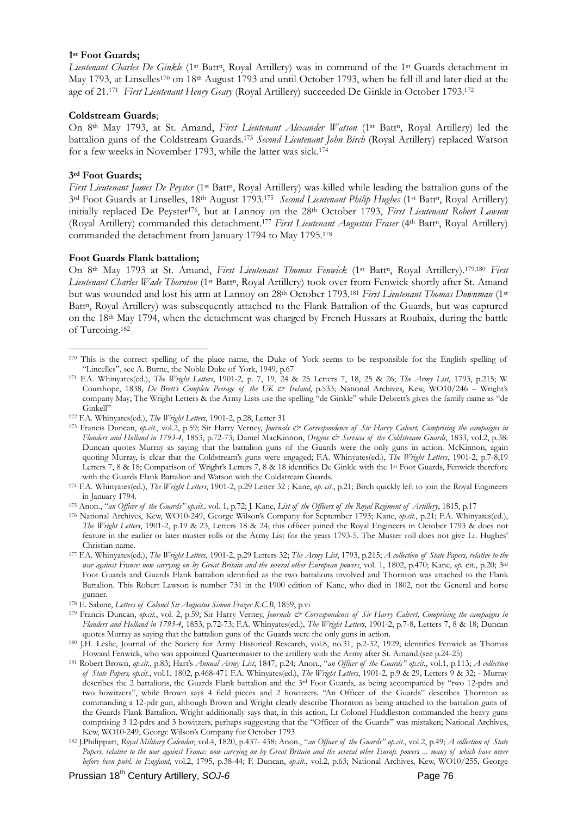#### **1st Foot Guards;**

*Lieutenant Charles De Ginkle* (1<sup>st</sup> Batt<sup>n</sup>, Royal Artillery) was in command of the 1<sup>st</sup> Guards detachment in May 1793, at Linselles<sup>170</sup> on 18<sup>th</sup> August 1793 and until October 1793, when he fell ill and later died at the age of 21.171 *First Lieutenant Henry Geary* (Royal Artillery) succeeded De Ginkle in October 1793.172

#### **Coldstream Guards**;

On 8<sup>th</sup> May 1793, at St. Amand, *First Lieutenant Alexander Watson* (1<sup>st</sup> Batt<sup>n</sup>, Royal Artillery) led the battalion guns of the Coldstream Guards.173 *Second Lieutenant John Birch* (Royal Artillery) replaced Watson for a few weeks in November 1793, while the latter was sick.174

#### **3rd Foot Guards;**

<u>.</u>

*First Lieutenant James De Peyster* (1<sup>st</sup> Batt<sup>n</sup>, Royal Artillery) was killed while leading the battalion guns of the 3rd Foot Guards at Linselles, 18th August 1793.175 *Second Lieutenant Philip Hughes* (1st Battn, Royal Artillery) initially replaced De Peyster<sup>176</sup>, but at Lannoy on the 28<sup>th</sup> October 1793, *First Lieutenant Robert Lawson* (Royal Artillery) commanded this detachment.<sup>177</sup> *First Lieutenant Augustus Fraser* (4<sup>th</sup> Batt<sup>n</sup>, Royal Artillery) commanded the detachment from January 1794 to May 1795.178

#### **Foot Guards Flank battalion;**

On 8<sup>th</sup> May 1793 at St. Amand, *First Lieutenant Thomas Fenwick* (1<sup>st</sup> Batt<sup>n</sup>, Royal Artillery).<sup>179,180</sup> *First* Lieutenant Charles Wade Thornton (1<sup>st</sup> Batt<sup>n</sup>, Royal Artillery) took over from Fenwick shortly after St. Amand but was wounded and lost his arm at Lannoy on 28th October 1793.181 *First Lieutenant Thomas Downman* (1st Batt<sup>n</sup>, Royal Artillery) was subsequently attached to the Flank Battalion of the Guards, but was captured on the 18th May 1794, when the detachment was charged by French Hussars at Roubaix, during the battle of Turcoing.182

<sup>170</sup> This is the correct spelling of the place name, the Duke of York seems to be responsible for the English spelling of

<sup>&</sup>quot;Lincelles", see A. Burne, the Noble Duke of York, 1949, p.67 171 F.A. Whinyates(ed.), *The Wright Letters*, 1901-2, p. 7, 19, 24 & 25 Letters 7, 18, 25 & 26; *The Army List*, 1793, p.215; W. Courthope, 1838, *De Brett's Complete Peerage of the UK & Ireland*, p.533; National Archives, Kew, WO10/246 – Wright's company May; The Wright Letters & the Army Lists use the spelling "de Ginkle" while Debrett's gives the family name as "de Ginkell"<br>
172 F.A. Whinyates(ed.), The Wright Letters, 1901-2, p.28, Letter 31<br>
173 Francis Duncan, *op.cit.*, vol.2, p.59; Sir Harry Verney, *Journals & Correspondence of Sir Harry Calvert, Comprising the campaigns in* 

*Flanders and Holland in 1793-4*, 1853, p.72-73; Daniel MacKinnon, *Origins & Services of the Coldstream Guards*, 1833, vol.2, p.38: Duncan quotes Murray as saying that the battalion guns of the Guards were the only guns in action. McKinnon, again quoting Murray, is clear that the Coldstream's guns were engaged; F.A. Whinyates(ed.), *The Wright Letters*, 1901-2, p.7-8,19 Letters 7, 8 & 18; Comparison of Wright's Letters 7, 8 & 18 identifies De Ginkle with the 1<sup>st</sup> Foot Guards, Fenwick therefore with the Guards Flank Battalion and Watson with the Coldstream Guards.

<sup>174</sup> F.A. Whinyates(ed.), *The Wright Letters*, 1901-2, p.29 Letter 32; Kane, *op. cit.*, p.21; Birch quickly left to join the Royal Engineers

in January 1794.<br><sup>175</sup> Anon., "an Officer of the Guards" op.cit., vol. 1, p.72; J. Kane, *List of the Officers of the Royal Regiment of Artillery*, 1815, p.17<br><sup>176</sup> National Archives, Kew, WO10-249, George Wilson's Company *The Wright Letters*, 1901-2, p.19 & 23, Letters 18 & 24; this officer joined the Royal Engineers in October 1793 & does not feature in the earlier or later muster rolls or the Army List for the years 1793-5. The Muster roll does not give Lt. Hughes'

Christian name. 177 F.A. Whinyates(ed.), *The Wright Letters*, 1901-2, p.29 Letters 32; *The Army List*, 1793, p.215; *A collection of State Papers, relative to the war against France: now carrying on by Great Britain and the several other European powers*, vol. 1, 1802, p.470; Kane, *op.* cit., p.20; 3rd Foot Guards and Guards Flank battalion identified as the two battalions involved and Thornton was attached to the Flank Battalion. This Robert Lawson is number 731 in the 1900 edition of Kane, who died in 1802, not the General and horse

gunner.<br><sup>178</sup> E. Sabine, *Letters of Colonel Sir Augustus Simon Frazer K.C.B*, 1859, p.vi<br><sup>179</sup> Francis Duncan, *op.cit.*, vol. 2, p.59; Sir Harry Verney, *Journals & Correspondence of Sir Harry Calvert, Comprising the cam Flanders and Holland in 1793-4*, 1853, p.72-73; F.A. Whinyates(ed.), *The Wright Letters*, 1901-2, p.7-8, Letters 7, 8 & 18; Duncan

quotes Murray as saying that the battalion guns of the Guards were the only guns in action.<br>
180 J.H. Leslie, Journal of the Society for Army Historical Research, vol.8, no.31, p.2-32, 1929; identifies Fenwick as Thomas<br>
H

<sup>181</sup> Robert Brown, op.cit., p.83; Hart's Annual Army List, 1847, p.24; Anon., "an Officer of the Guards" op.cit., vol.1, p.113; A collection *of State Papers, op.cit.*, vol.1, 1802, p.468-471 F.A. Whinyates(ed.), *The Wright Letters*, 1901-2, p.9 & 29, Letters 9 & 32; - Murray describes the 2 battalions, the Guards Flank battalion and the 3rd Foot Guards, as being accompanied by "two 12-pdrs and two howitzers", while Brown says 4 field pieces and 2 howitzers. "An Officer of the Guards" describes Thornton as commanding a 12-pdr gun, although Brown and Wright clearly describe Thornton as being attached to the battalion guns of the Guards Flank Battalion. Wright additionally says that, in this action, Lt Colonel Huddleston commanded the heavy guns comprising 3 12-pdrs and 3 howitzers, perhaps suggesting that the "Officer of the Guards" was mistaken; National Archives, Kew, WO10-249, George Wilson's Company for October 1793 182 J.Philippart, *Royal Military Calendar*, vol.4, 1820, p.437- 438; Anon., "*an Officer of the Guards" op.cit.*, vol.2, p.49; *A collection of State* 

Papers, relative to the war against France: now carrying on by Great Britain and the several other Europ. powers ... many of which have never *before been publ. in England*, vol.2, 1795, p.38-44; F. Duncan, *op.cit.*, vol.2, p.63; National Archives, Kew, WO10/255, George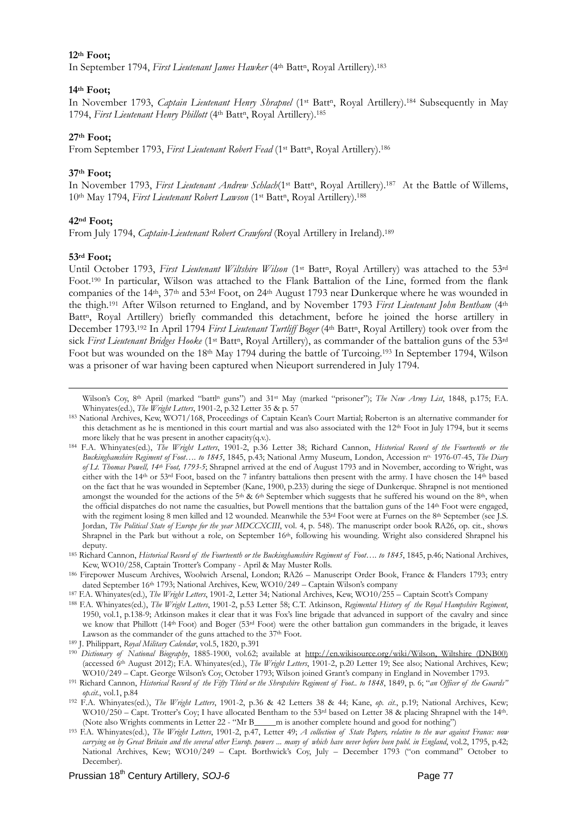#### **12th Foot;**

In September 1794, *First Lieutenant James Hawker* (4th Battn, Royal Artillery).183

#### **14th Foot;**

In November 1793, *Captain Lieutenant Henry Shrapnel* (1<sup>st</sup> Batt<sup>n</sup>, Royal Artillery).<sup>184</sup> Subsequently in May 1794, *First Lieutenant Henry Phillott* (4th Battn, Royal Artillery).185

#### **27th Foot;**

From September 1793, *First Lieutenant Robert Fead* (1<sup>st</sup> Batt<sup>n</sup>, Royal Artillery).<sup>186</sup>

#### **37th Foot;**

In November 1793, *First Lieutenant Andrew Schlach*(1<sup>st</sup> Batt<sup>n</sup>, Royal Artillery).<sup>187</sup> At the Battle of Willems, 10<sup>th</sup> May 1794, *First Lieutenant Robert Lawson* (1<sup>st</sup> Batt<sup>n</sup>, Royal Artillery).<sup>188</sup>

#### **42nd Foot;**

From July 1794, *Captain-Lieutenant Robert Crawford* (Royal Artillery in Ireland).189

#### **53rd Foot;**

Until October 1793, *First Lieutenant Wiltshire Wilson* (1<sup>st</sup> Batt<sup>n</sup>, Royal Artillery) was attached to the 53<sup>rd</sup> Foot.190 In particular, Wilson was attached to the Flank Battalion of the Line, formed from the flank companies of the 14th, 37th and 53rd Foot, on 24th August 1793 near Dunkerque where he was wounded in the thigh.191 After Wilson returned to England, and by November 1793 *First Lieutenant John Bentham* (4th Batt<sup>n</sup>, Royal Artillery) briefly commanded this detachment, before he joined the horse artillery in December 1793.<sup>192</sup> In April 1794 *First Lieutenant Turtliff Boger* (4<sup>th</sup> Batt<sup>n</sup>, Royal Artillery) took over from the sick *First Lieutenant Bridges Hooke* (1<sup>st</sup> Batt<sup>a</sup>, Royal Artillery), as commander of the battalion guns of the 53<sup>rd</sup> Foot but was wounded on the 18th May 1794 during the battle of Turcoing.193 In September 1794, Wilson was a prisoner of war having been captured when Nieuport surrendered in July 1794.

Wilson's Coy, 8th April (marked "battl<sup>n</sup> guns") and 31st May (marked "prisoner"); *The New Army List*, 1848, p.175; F.A. Whinvates(ed.), *The Wright Letters*, 1901-2, p.32 Letter 35 & p. 57

<sup>&</sup>lt;sup>183</sup> National Archives, Kew, WO71/168, Proceedings of Captain Kean's Court Martial; Roberton is an alternative commander for this detachment as he is mentioned in this court martial and was also associated with the 12<sup>th</sup> Foot in July 1794, but it seems more likely that he was present in another capacity(q.v.).

<sup>184</sup> F.A. Whinyates(ed.), *The Wright Letters*, 1901-2, p.36 Letter 38; Richard Cannon, *Historical Record of the Fourteenth or the Buckinghamshire Regiment of Foot…. to 1845*, 1845, p.43; National Army Museum, London, Accession no. 1976-07-45, *The Diary of Lt. Thomas Powell, 14th Foot, 1793-5*; Shrapnel arrived at the end of August 1793 and in November, according to Wright, was either with the 14th or 53rd Foot, based on the 7 infantry battalions then present with the army. I have chosen the 14th based on the fact that he was wounded in September (Kane, 1900, p.233) during the siege of Dunkerque. Shrapnel is not mentioned amongst the wounded for the actions of the 5<sup>th</sup> & 6<sup>th</sup> September which suggests that he suffered his wound on the 8<sup>th</sup>, when the official dispatches do not name the casualties, but Powell mentions that the battalion guns of the 14th Foot were engaged, with the regiment losing 8 men killed and 12 wounded. Meanwhile the 53<sup>rd</sup> Foot were at Furnes on the 8<sup>th</sup> September (see J.S. Jordan, *The Political State of Europe for the year MDCCXCIII*, vol. 4, p. 548). The manuscript order book RA26, op. cit., shows Shrapnel in the Park but without a role, on September 16<sup>th</sup>, following his wounding. Wright also considered Shrapnel his deputy. 185 Richard Cannon, *Historical Record of the Fourteenth or the Buckinghamshire Regiment of Foot…. to 1845*, 1845, p.46; National Archives,

Kew, WO10/258, Captain Trotter's Company - April & May Muster Rolls.<br><sup>186</sup> Firepower Museum Archives, Woolwich Arsenal, London; RA26 – Manuscript Order Book, France & Flanders 1793; entry<br>dated September 16<sup>th</sup> 1793; Natio

<sup>&</sup>lt;sup>187</sup> F.A. Whinyates(ed.), *The Wright Letters*, 1901-2, Letter 34; National Archives, Kew, WO10/255 - Captain Scott's Company<br><sup>188</sup> F.A. Whinyates(ed.), *The Wright Letters*, 1901-2, p.53 Letter 58; C.T. Atkinson, Regimen 1950, vol.1, p.138-9; Atkinson makes it clear that it was Fox's line brigade that advanced in support of the cavalry and since we know that Phillott (14th Foot) and Boger (53rd Foot) were the other battalion gun commanders in the brigade, it leaves Lawson as the commander of the guns attached to the 37th Foot. 189 J. Philippart, *Royal Military Calendar*, vol.5, 1820, p.391

<sup>190</sup> *Dictionary of National Biography*, 1885-1900, vol.62; available at http://en.wikisource.org/wiki/Wilson,\_Wiltshire\_(DNB00) (accessed 6<sup>th</sup> August 2012); F.A. Whinyates(ed.), *The Wright Letters*, 1901-2, p.20 Letter 19; See also; National Archives, Kew;<br>WO10/249 – Capt. George Wilson's Coy, October 1793; Wilson joined Grant's company in Englan

<sup>&</sup>lt;sup>191</sup> Richard Cannon, Historical Record of the Fifty Third or the Shropshire Regiment of Foot.. to 1848, 1849, p. 6; "an Officer of the Guards" *op.cit.*, vol.1, p.84 192 F.A. Whinyates(ed.), *The Wright Letters*, 1901-2, p.36 & 42 Letters 38 & 44; Kane, *op. cit.*, p.19; National Archives, Kew;

WO10/250 – Capt. Trotter's Coy; I have allocated Bentham to the 53<sup>rd</sup> based on Letter 38 & placing Shrapnel with the 14<sup>th</sup>.<br>(Note also Wrights comments in Letter 22 - "Mr B\_\_\_\_m is another complete hound and good for not

<sup>193</sup> F.A. Whinyates(ed.), The Wright Letters, 1901-2, p.47, Letter 49; A collection of State Papers, relative to the war against France: now *carrying on by Great Britain and the several other Europ. powers ... many of which have never before been publ. in England*, vol.2, 1795, p.42; National Archives, Kew; WO10/249 – Capt. Borthwick's Coy, July – December 1793 ("on command" October to December).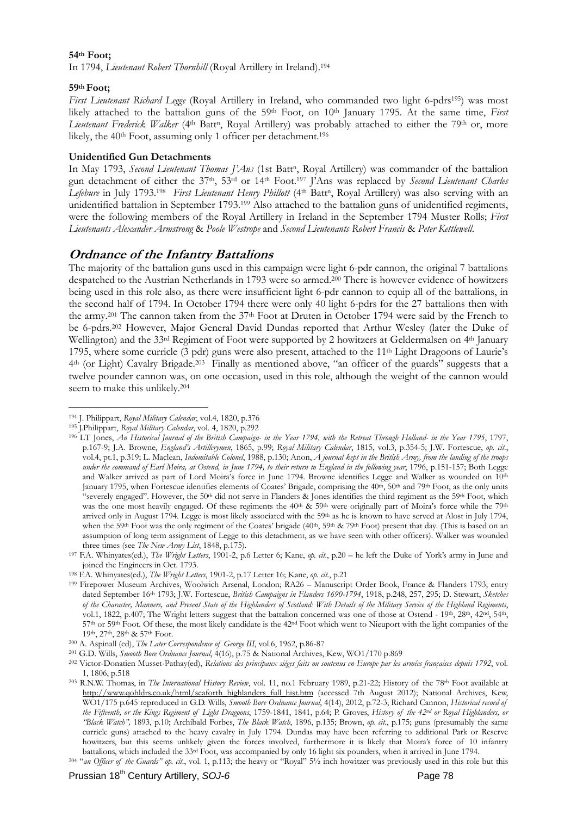#### **54th Foot;**

In 1794, *Lieutenant Robert Thornhill* (Royal Artillery in Ireland).194

#### **59th Foot;**

*First Lieutenant Richard Legge (Royal Artillery in Ireland, who commanded two light 6-pdrs<sup>195</sup>) was most* likely attached to the battalion guns of the 59<sup>th</sup> Foot, on 10<sup>th</sup> January 1795. At the same time, *First Lieutenant Frederick Walker* (4<sup>th</sup> Batt<sup>n</sup>, Royal Artillery) was probably attached to either the 79<sup>th</sup> or, more likely, the 40th Foot, assuming only 1 officer per detachment.196

#### **Unidentified Gun Detachments**

In May 1793, *Second Lieutenant Thomas J'Ans* (1st Batt<sup>n</sup>, Royal Artillery) was commander of the battalion gun detachment of either the 37th, 53rd or 14th Foot.197 J'Ans was replaced by *Second Lieutenant Charles*  Lefebure in July 1793.<sup>198</sup> *First Lieutenant Henry Phillott* (4<sup>th</sup> Batt<sup>n</sup>, Royal Artillery) was also serving with an unidentified battalion in September 1793.199 Also attached to the battalion guns of unidentified regiments, were the following members of the Royal Artillery in Ireland in the September 1794 Muster Rolls; *First Lieutenants Alexander Armstrong* & *Poole Westrope* and *Second Lieutenants Robert Francis* & *Peter Kettlewell*.

### **Ordnance of the Infantry Battalions**

The majority of the battalion guns used in this campaign were light 6-pdr cannon, the original 7 battalions despatched to the Austrian Netherlands in 1793 were so armed.200 There is however evidence of howitzers being used in this role also, as there were insufficient light 6-pdr cannon to equip all of the battalions, in the second half of 1794. In October 1794 there were only 40 light 6-pdrs for the 27 battalions then with the army.201 The cannon taken from the 37th Foot at Druten in October 1794 were said by the French to be 6-pdrs.202 However, Major General David Dundas reported that Arthur Wesley (later the Duke of Wellington) and the 33<sup>rd</sup> Regiment of Foot were supported by 2 howitzers at Geldermalsen on 4<sup>th</sup> January 1795, where some curricle (3 pdr) guns were also present, attached to the  $11<sup>th</sup>$  Light Dragoons of Laurie's 4th (or Light) Cavalry Brigade.203 Finally as mentioned above, "an officer of the guards" suggests that a twelve pounder cannon was, on one occasion, used in this role, although the weight of the cannon would seem to make this unlikely.204

<sup>&</sup>lt;u>.</u> 194 J. Philippart, *Royal Military Calendar*, vol.4, 1820, p.376

<sup>195</sup> J.Philippart, *Royal Military Calendar*, vol. 4, 1820, p.292<br><sup>196</sup> LT Jones, *An Historical Journal of the British Campaign- in the Year 1794, with the Retreat Through Holland- in the Year 1795, 1797,* p.167-9; J.A. Browne, *England's Artillerymen*, 1865, p.99; *Royal Military Calendar*, 1815, vol.3, p.354-5; J.W. Fortescue, *op. cit.*, vol.4, pt.1, p.319; L. Maclean, *Indomitable Colonel*, 1988, p.130; Anon, *A journal kept in the British Army, from the landing of the troops under the command of Earl Moira, at Ostend, in June 1794, to their return to England in the following year*, 1796, p.151-157; Both Legge and Walker arrived as part of Lord Moira's force in June 1794. Browne identifies Legge and Walker as wounded on 10th January 1795, when Fortescue identifies elements of Coates' Brigade, comprising the 40<sup>th</sup>, 50<sup>th</sup> and 79<sup>th</sup> Foot, as the only units "severely engaged". However, the 50<sup>th</sup> did not serve in Flanders & Jones identifies the third regiment as the 59<sup>th</sup> Foot, which was the one most heavily engaged. Of these regiments the 40<sup>th</sup> & 59<sup>th</sup> were originally part of Moira's force while the 79<sup>th</sup> arrived only in August 1794. Legge is most likely associated with the 59th as he is known to have served at Alost in July 1794, when the 59<sup>th</sup> Foot was the only regiment of the Coates' brigade (40<sup>th</sup>, 59<sup>th</sup> & 79<sup>th</sup> Foot) present that day. (This is based on an assumption of long term assignment of Legge to this detachment, as we have seen with other officers). Walker was wounded

three times (see *The New Army List*, 1848, p.175). 197 F.A. Whinyates(ed.), *The Wright Letters*, 1901-2, p.6 Letter 6; Kane, *op. cit.*, p.20 – he left the Duke of York's army in June and joined the Engineers in Oct. 1793.<br><sup>198</sup> F.A. Whinyates(ed.), *The Wright Letters*, 1901-2, p.17 Letter 16; Kane, *op. cit.*, p.21<br><sup>199</sup> Firepower Museum Archives, Woolwich Arsenal, London; RA26 – Manuscript Order Book, Fr

dated September 16th 1793; J.W. Fortescue, *British Campaigns in Flanders 1690-1794*, 1918, p.248, 257, 295; D. Stewart, *Sketches of the Character, Manners, and Present State of the Highlanders of Scotland: With Details of the Military Service of the Highland Regiments*, vol.1, 1822, p.407; The Wright letters suggest that the battalion concerned was one of those at Ostend - 19th, 28th, 42nd, 54th, 57th or 59th Foot. Of these, the most likely candidate is the 42<sup>nd</sup> Foot which went to Nieuport with the light companies of the 19th, 27th, 28th & 57th Foot.

<sup>19</sup>th, 27th, 28th & 57th Foot. 200 A. Aspinall (ed), *The Later Correspondence of George III*, vol.6, 1962, p.86-87 201 G.D. Wills, *Smooth Bore Ordnance Journal*, 4(16), p.75 & National Archives, Kew, WO1/170 p.869

<sup>202</sup> Victor-Donatien Musset-Pathay(ed), *Relations des principaux siéges faits ou soutenus en Europe par les armées françaises depuis 1792*, vol.

<sup>1, 1806,</sup> p.518 203 R.N.W. Thomas, in *The International History Review*, vol. 11, no.1 February 1989, p.21-22; History of the 78th Foot available at http://www.qohldrs.co.uk/html/seaforth\_highlanders\_full\_hist.htm (accessed 7th August 2012); National Archives, Kew, WO1/175 p.645 reproduced in G.D. Wills, *Smooth Bore Ordnance Journal*, 4(14), 2012, p.72-3; Richard Cannon, *Historical record of the Fifteenth, or the Kings Regiment of Light Dragoons*, 1759-1841, 1841, p.64; P. Groves, *History of the 42nd or Royal Highlanders, or "Black Watch",* 1893, p.10; Archibald Forbes, *The Black Watch*, 1896, p.135; Brown, *op. cit*., p.175; guns (presumably the same curricle guns) attached to the heavy cavalry in July 1794. Dundas may have been referring to additional Park or Reserve howitzers, but this seems unlikely given the forces involved, furthermore it is likely that Moira's force of 10 infantry battalions, which included the 33<sup>rd</sup> Foot, was accompanied by only 16 light six pounders, when it ar

<sup>&</sup>lt;sup>204</sup> "an Officer of the Guards" op. cit., vol. 1, p.113; the heavy or "Royal" 5<sup>1</sup>/2 inch howitzer was previously used in this role but this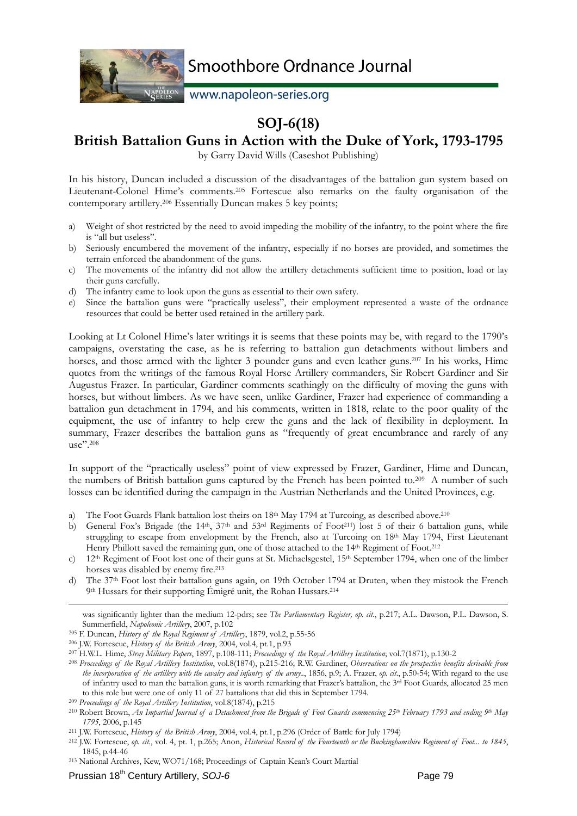

www.napoleon-series.org

## **SOJ-6(18)**

### **British Battalion Guns in Action with the Duke of York, 1793-1795**

by Garry David Wills (Caseshot Publishing)

In his history, Duncan included a discussion of the disadvantages of the battalion gun system based on Lieutenant-Colonel Hime's comments.205 Fortescue also remarks on the faulty organisation of the contemporary artillery.206 Essentially Duncan makes 5 key points;

- a) Weight of shot restricted by the need to avoid impeding the mobility of the infantry, to the point where the fire is "all but useless".
- b) Seriously encumbered the movement of the infantry, especially if no horses are provided, and sometimes the terrain enforced the abandonment of the guns.
- c) The movements of the infantry did not allow the artillery detachments sufficient time to position, load or lay their guns carefully.
- d) The infantry came to look upon the guns as essential to their own safety.
- e) Since the battalion guns were "practically useless", their employment represented a waste of the ordnance resources that could be better used retained in the artillery park.

Looking at Lt Colonel Hime's later writings it is seems that these points may be, with regard to the 1790's campaigns, overstating the case, as he is referring to battalion gun detachments without limbers and horses, and those armed with the lighter 3 pounder guns and even leather guns.<sup>207</sup> In his works, Hime quotes from the writings of the famous Royal Horse Artillery commanders, Sir Robert Gardiner and Sir Augustus Frazer. In particular, Gardiner comments scathingly on the difficulty of moving the guns with horses, but without limbers. As we have seen, unlike Gardiner, Frazer had experience of commanding a battalion gun detachment in 1794, and his comments, written in 1818, relate to the poor quality of the equipment, the use of infantry to help crew the guns and the lack of flexibility in deployment. In summary, Frazer describes the battalion guns as "frequently of great encumbrance and rarely of any  $_{11}$ se"<sup>208</sup>

In support of the "practically useless" point of view expressed by Frazer, Gardiner, Hime and Duncan, the numbers of British battalion guns captured by the French has been pointed to.209 A number of such losses can be identified during the campaign in the Austrian Netherlands and the United Provinces, e.g.

- a) The Foot Guards Flank battalion lost theirs on  $18<sup>th</sup>$  May 1794 at Turcoing, as described above.<sup>210</sup>
- b) General Fox's Brigade (the 14<sup>th</sup>, 37<sup>th</sup> and 53<sup>rd</sup> Regiments of Foot<sup>211</sup>) lost 5 of their 6 battalion guns, while struggling to escape from envelopment by the French, also at Turcoing on  $18<sup>th</sup>$  May 1794, First Lieutenant Henry Phillott saved the remaining gun, one of those attached to the 14<sup>th</sup> Regiment of Foot.<sup>212</sup>
- c) 12<sup>th</sup> Regiment of Foot lost one of their guns at St. Michaelsgestel,  $15<sup>th</sup>$  September 1794, when one of the limber horses was disabled by enemy fire.<sup>213</sup>
- d) The 37th Foot lost their battalion guns again, on 19th October 1794 at Druten, when they mistook the French 9th Hussars for their supporting Émigré unit, the Rohan Hussars.214

was significantly lighter than the medium 12-pdrs; see *The Parliamentary Register, op. cit*., p.217; A.L. Dawson, P.L. Dawson, S. Summerfield, Napoleonic Artillery, 2007, p.102<br><sup>205</sup> F. Duncan, *History of the Royal Regiment of Artillery*, 1879, vol.2, p.55-56<br><sup>206</sup> J.W. Fortescue, *History of the British Army*, 2004, vol.4, pt.1, p.93<br><sup>207</sup> H.W.L. H

*the incorporation of the artillery with the cavalry and infantry of the army..*, 1856, p.9; A. Frazer, *op. cit*., p.50-54; With regard to the use of infantry used to man the battalion guns, it is worth remarking that Frazer's battalion, the 3rd Foot Guards, allocated 25 men to this role but were one of only 11 of 27 battalions that did this in September 1794.<br><sup>209</sup> Proceedings of the Royal Artillery Institution, vol.8(1874), p.215<br><sup>210</sup> Robert Brown, An Impartial Journal of a Detachment from

<sup>1795, 2006,</sup> p.145<br><sup>211</sup> J.W. Fortescue, *History of the British Army*, 2004, vol.4, pt.1, p.296 (Order of Battle for July 1794)<br><sup>212</sup> J.W. Fortescue, *op. cit.*, vol. 4, pt. 1, p.265; Anon, *Historical Record of the Fourte* 1845, p.44-46 213 National Archives, Kew, WO71/168; Proceedings of Captain Kean's Court Martial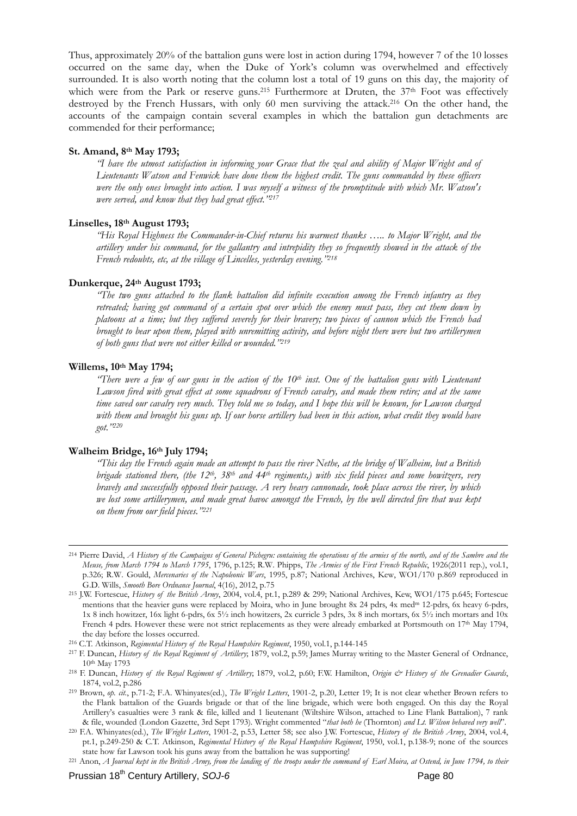Thus, approximately 20% of the battalion guns were lost in action during 1794, however 7 of the 10 losses occurred on the same day, when the Duke of York's column was overwhelmed and effectively surrounded. It is also worth noting that the column lost a total of 19 guns on this day, the majority of which were from the Park or reserve guns.<sup>215</sup> Furthermore at Druten, the 37<sup>th</sup> Foot was effectively destroyed by the French Hussars, with only 60 men surviving the attack.216 On the other hand, the accounts of the campaign contain several examples in which the battalion gun detachments are commended for their performance;

#### **St. Amand, 8th May 1793;**

*"I have the utmost satisfaction in informing your Grace that the zeal and ability of Major Wright and of Lieutenants Watson and Fenwick have done them the highest credit. The guns commanded by these officers were the only ones brought into action. I was myself a witness of the promptitude with which Mr. Watson's were served, and know that they had great effect."217*

#### **Linselles, 18th August 1793;**

*"His Royal Highness the Commander-in-Chief returns his warmest thanks ….. to Major Wright, and the artillery under his command, for the gallantry and intrepidity they so frequently showed in the attack of the French redoubts, etc, at the village of Lincelles, yesterday evening."218*

#### **Dunkerque, 24th August 1793;**

*"The two guns attached to the flank battalion did infinite execution among the French infantry as they retreated; having got command of a certain spot over which the enemy must pass, they cut them down by platoons at a time; but they suffered severely for their bravery; two pieces of cannon which the French had brought to bear upon them, played with unremitting activity, and before night there were but two artillerymen of both guns that were not either killed or wounded."219*

#### **Willems, 10th May 1794;**

<sup>"</sup>There were a few of our guns in the action of the 10<sup>th</sup> inst. One of the battalion guns with Lieutenant *Lawson fired with great effect at some squadrons of French cavalry, and made them retire; and at the same time saved our cavalry very much. They told me so today, and I hope this will be known, for Lawson charged*  with them and brought his guns up. If our horse artillery had been in this action, what credit they would have *got."220*

#### **Walheim Bridge, 16th July 1794;**

*"This day the French again made an attempt to pass the river Nethe, at the bridge of Walheim, but a British brigade stationed there, (the 12th, 38th and 44th regiments,) with six field pieces and some howitzers, very bravely and successfully opposed their passage. A very heavy cannonade, took place across the river, by which we lost some artillerymen, and made great havoc amongst the French, by the well directed fire that was kept on them from our field pieces."221*

 <sup>214</sup> Pierre David, *A History of the Campaigns of General Pichegru: containing the operations of the armies of the north, and of the Sambre and the Meuse, from March 1794 to March 1795*, 1796, p.125; R.W. Phipps, *The Armies of the First French Republic*, 1926(2011 rep.), vol.1, p.326; R.W. Gould, *Mercenaries of the Napoleonic Wars*, 1995, p.87; National Archives, Kew, WO1/170 p.869 reproduced in

G.D. Wills, *Smooth Bore Ordnance Journal*, 4(16), 2012, p.75 215 J.W. Fortescue, *History of the British Army*, 2004, vol.4, pt.1, p.289 & 299; National Archives, Kew, WO1/175 p.645; Fortescue mentions that the heavier guns were replaced by Moira, who in June brought 8x 24 pdrs, 4x medm 12-pdrs, 6x heavy 6-pdrs, 1x 8 inch howitzer, 16x light 6-pdrs, 6x 5½ inch howitzers, 2x curricle 3 pdrs, 3x 8 inch mortars, 6x 5½ inch mortars and 10x French 4 pdrs. However these were not strict replacements as they were already embarked at Portsmouth on 17th May 1794, the day before the losses occurred.<br><sup>216</sup> C.T. Atkinson, Regimental History of the Royal Hampshire Regiment, 1950, vol.1, p.144-145<br><sup>217</sup> F. Duncan, *History of the Royal Regiment of Artillery*; 1879, vol.2, p.59; James Mu

<sup>10</sup>th May 1793 218 F. Duncan, *History of the Royal Regiment of Artillery*; 1879, vol.2, p.60; F.W. Hamilton, *Origin & History of the Grenadier Guards*,

<sup>1874,</sup> vol.2, p.286 219 Brown, *op. cit.*, p.71-2; F.A. Whinyates(ed.), *The Wright Letters*, 1901-2, p.20, Letter 19; It is not clear whether Brown refers to

the Flank battalion of the Guards brigade or that of the line brigade, which were both engaged. On this day the Royal Artillery's casualties were 3 rank & file, killed and 1 lieutenant (Wiltshire Wilson, attached to Line Flank Battalion), 7 rank & file, wounded (London Gazette, 3rd Sept 1793). Wright commented "that both he (Thornton) and Lt. Wilson behaved very well".<br><sup>220</sup> F.A. Whinyates(ed.), *The Wright Letters*, 1901-2, p.53, Letter 58; see also J.W. Fortescu

pt.1, p.249-250 & C.T. Atkinson, *Regimental History of the Royal Hampshire Regiment*, 1950, vol.1, p.138-9; none of the sources

state how far Lawson took his guns away from the battalion he was supporting!<br><sup>221</sup> Anon, *A Journal kept in the British Army, from the landing of the troops under the command of Earl Moira, at Ostend, in June 1794, to the*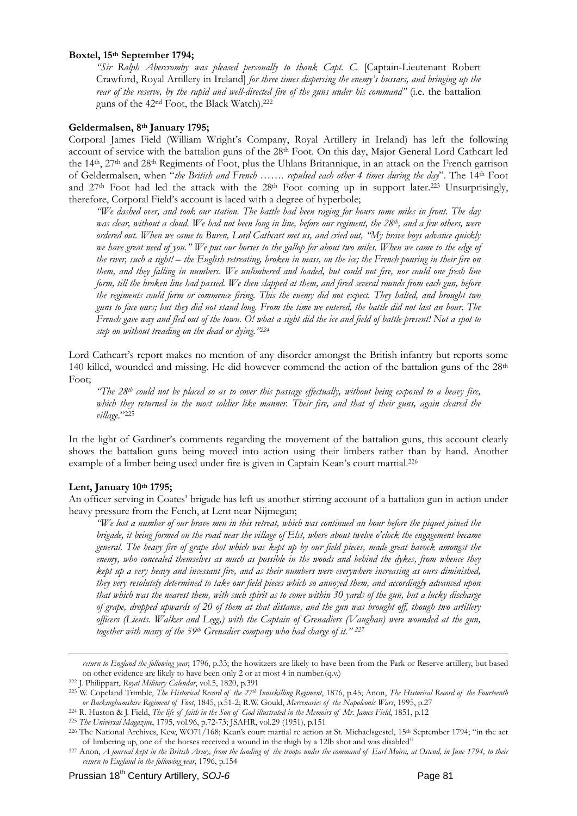#### **Boxtel, 15th September 1794;**

*"Sir Ralph Abercromby was pleased personally to thank Capt. C.* [Captain-Lieutenant Robert Crawford, Royal Artillery in Ireland] *for three times dispersing the enemy's hussars, and bringing up the rear of the reserve, by the rapid and well-directed fire of the guns under his command"* (i.e. the battalion guns of the 42nd Foot, the Black Watch).222

#### **Geldermalsen, 8th January 1795;**

Corporal James Field (William Wright's Company, Royal Artillery in Ireland) has left the following account of service with the battalion guns of the 28th Foot. On this day, Major General Lord Cathcart led the 14th, 27th and 28th Regiments of Foot, plus the Uhlans Britannique, in an attack on the French garrison of Geldermalsen, when "*the British and French ……. repulsed each other 4 times during the day*". The 14th Foot and 27<sup>th</sup> Foot had led the attack with the 28<sup>th</sup> Foot coming up in support later.<sup>223</sup> Unsurprisingly, therefore, Corporal Field's account is laced with a degree of hyperbole;

*"We dashed over, and took our station. The battle had been raging for hours some miles in front. The day was clear, without a cloud. We had not been long in line, before our regiment, the 28th, and a few others, were ordered out. When we came to Buren, Lord Cathcart met us, and cried out, "My brave boys advance quickly we have great need of you." We put our horses to the gallop for about two miles. When we came to the edge of the river, such a sight! – the English retreating, broken in mass, on the ice; the French pouring in their fire on them, and they falling in numbers. We unlimbered and loaded, but could not fire, nor could one fresh line form, till the broken line had passed. We then slapped at them, and fired several rounds from each gun, before the regiments could form or commence firing. This the enemy did not expect. They halted, and brought two guns to face ours; but they did not stand long. From the time we entered, the battle did not last an hour. The French gave way and fled out of the town. O! what a sight did the ice and field of battle present! Not a spot to step on without treading on the dead or dying."224*

Lord Cathcart's report makes no mention of any disorder amongst the British infantry but reports some 140 killed, wounded and missing. He did however commend the action of the battalion guns of the  $28<sup>th</sup>$ Foot;

*"The 28th could not be placed so as to cover this passage effectually, without being exposed to a heavy fire, which they returned in the most soldier like manner. Their fire, and that of their guns, again cleared the village*."225

In the light of Gardiner's comments regarding the movement of the battalion guns, this account clearly shows the battalion guns being moved into action using their limbers rather than by hand. Another example of a limber being used under fire is given in Captain Kean's court martial.<sup>226</sup>

#### **Lent, January 10th 1795;**

<u>.</u>

An officer serving in Coates' brigade has left us another stirring account of a battalion gun in action under heavy pressure from the Fench, at Lent near Nijmegan;

*"We lost a number of our brave men in this retreat, which was continued an hour before the piquet joined the brigade, it being formed on the road near the village of Elst, where about twelve o'clock the engagement became general. The heavy fire of grape shot which was kept up by our field pieces, made great havock amongst the enemy, who concealed themselves as much as possible in the woods and behind the dykes, from whence they kept up a very heavy and incessant fire, and as their numbers were everywhere increasing as ours diminished, they very resolutely determined to take our field pieces which so annoyed them, and accordingly advanced upon that which was the nearest them, with such spirit as to come within 30 yards of the gun, but a lucky discharge of grape, dropped upwards of 20 of them at that distance, and the gun was brought off, though two artillery officers (Lieuts. Walker and Legg,) with the Captain of Grenadiers (Vaughan) were wounded at the gun, together with many of the 59th Grenadier company who had charge of it." 227* 

*return to England the following year*, 1796, p.33; the howitzers are likely to have been from the Park or Reserve artillery, but based on other evidence are likely to have been only 2 or at most 4 in number.(q.v.)<br>
<sup>222</sup> J. Philippart, Royal Military Calendar, vol.5, 1820, p.391<br>
<sup>223</sup> W. Copeland Trimble, *The Historical Record of the 27<sup>th</sup> Inniskilling* 

or Buckinghamshire Regiment of Foot, 1845, p.51-2; R.W. Gould, *Mercenaries of the Napoleonic Wars*, 1995, p.27<br><sup>224</sup> R. Huston & J. Field, *The life of faith in the Son of God illustrated in the Memoirs of Mr. James Field* 

of limbering up, one of the horses received a wound in the thigh by a 12lb shot and was disabled"<br><sup>227</sup> Anon, *A journal kept in the British Army, from the landing of the troops under the command of Earl Moira, at Ostend, return to England in the following year*, 1796, p.154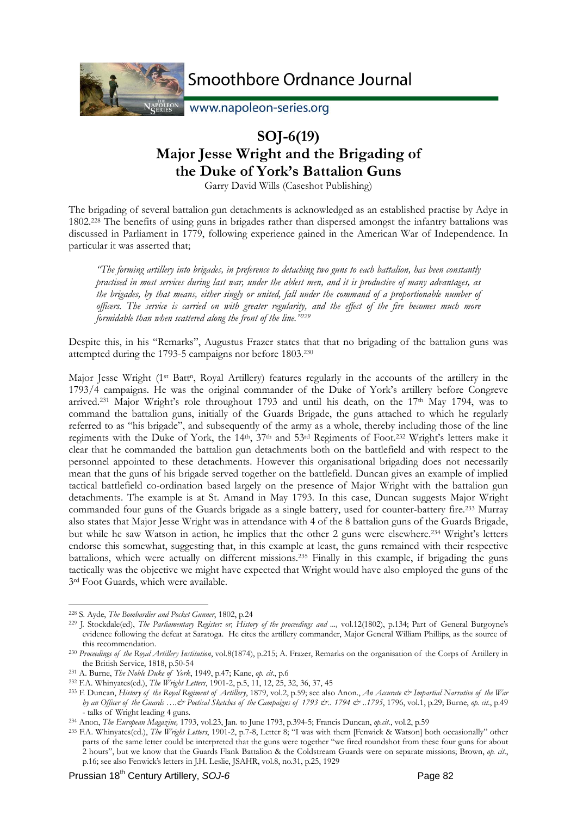

www.napoleon-series.org

## **SOJ-6(19) Major Jesse Wright and the Brigading of the Duke of York's Battalion Guns**

Garry David Wills (Caseshot Publishing)

The brigading of several battalion gun detachments is acknowledged as an established practise by Adye in 1802.228 The benefits of using guns in brigades rather than dispersed amongst the infantry battalions was discussed in Parliament in 1779, following experience gained in the American War of Independence. In particular it was asserted that;

*"The forming artillery into brigades, in preference to detaching two guns to each battalion, has been constantly practised in most services during last war, under the ablest men, and it is productive of many advantages, as the brigades, by that means, either singly or united, fall under the command of a proportionable number of officers. The service is carried on with greater regularity, and the effect of the fire becomes much more formidable than when scattered along the front of the line."229*

Despite this, in his "Remarks", Augustus Frazer states that that no brigading of the battalion guns was attempted during the 1793-5 campaigns nor before 1803.230

Major Jesse Wright (1<sup>st</sup> Batt<sup>n</sup>, Royal Artillery) features regularly in the accounts of the artillery in the 1793/4 campaigns. He was the original commander of the Duke of York's artillery before Congreve arrived.231 Major Wright's role throughout 1793 and until his death, on the 17th May 1794, was to command the battalion guns, initially of the Guards Brigade, the guns attached to which he regularly referred to as "his brigade", and subsequently of the army as a whole, thereby including those of the line regiments with the Duke of York, the 14th, 37th and 53rd Regiments of Foot.232 Wright's letters make it clear that he commanded the battalion gun detachments both on the battlefield and with respect to the personnel appointed to these detachments. However this organisational brigading does not necessarily mean that the guns of his brigade served together on the battlefield. Duncan gives an example of implied tactical battlefield co-ordination based largely on the presence of Major Wright with the battalion gun detachments. The example is at St. Amand in May 1793. In this case, Duncan suggests Major Wright commanded four guns of the Guards brigade as a single battery, used for counter-battery fire.233 Murray also states that Major Jesse Wright was in attendance with 4 of the 8 battalion guns of the Guards Brigade, but while he saw Watson in action, he implies that the other 2 guns were elsewhere.234 Wright's letters endorse this somewhat, suggesting that, in this example at least, the guns remained with their respective battalions, which were actually on different missions.235 Finally in this example, if brigading the guns tactically was the objective we might have expected that Wright would have also employed the guns of the 3rd Foot Guards, which were available.

<sup>&</sup>lt;u>.</u>

<sup>&</sup>lt;sup>228</sup> S. Ayde, *The Bombardier and Pocket Gunner*, 1802, p.24<br><sup>229</sup> J. Stockdale(ed), *The Parliamentary Register: or, History of the proceedings and ..., vol.12(1802), p.134; Part of General Burgoyne's* evidence following the defeat at Saratoga. He cites the artillery commander, Major General William Phillips, as the source of this recommendation. 230 *Proceedings of the Royal Artillery Institution*, vol.8(1874), p.215; A. Frazer, Remarks on the organisation of the Corps of Artillery in

the British Service, 1818, p.50-54<br>
231 A. Burne, *The Noble Duke of York*, 1949, p.47; Kane, *op. cit.*, p.6<br>
232 F.A. Whinyates(ed.), *The Wright Letters*, 1901-2, p.5, 11, 12, 25, 32, 36, 37, 45<br>
233 F. Duncan, *History* 

*by an Officer of the Guards ….& Poetical Sketches of the Campaigns of 1793 &.. 1794 & ..1795*, 1796, vol.1, p.29; Burne, *op. cit*., p.49 - talks of Wright leading 4 guns.<br><sup>234</sup> Anon, *The European Magazine*, 1793, vol.23, Jan. to June 1793, p.394-5; Francis Duncan, *op.cit.*, vol.2, p.59<br><sup>235</sup> F.A. Whinyates(ed.), *The Wright Letters*, 1901-2, p.7-8, Letter

parts of the same letter could be interpreted that the guns were together "we fired roundshot from these four guns for about 2 hours", but we know that the Guards Flank Battalion & the Coldstream Guards were on separate missions; Brown, *op. cit*., p.16; see also Fenwick's letters in J.H. Leslie, JSAHR, vol.8, no.31, p.25, 1929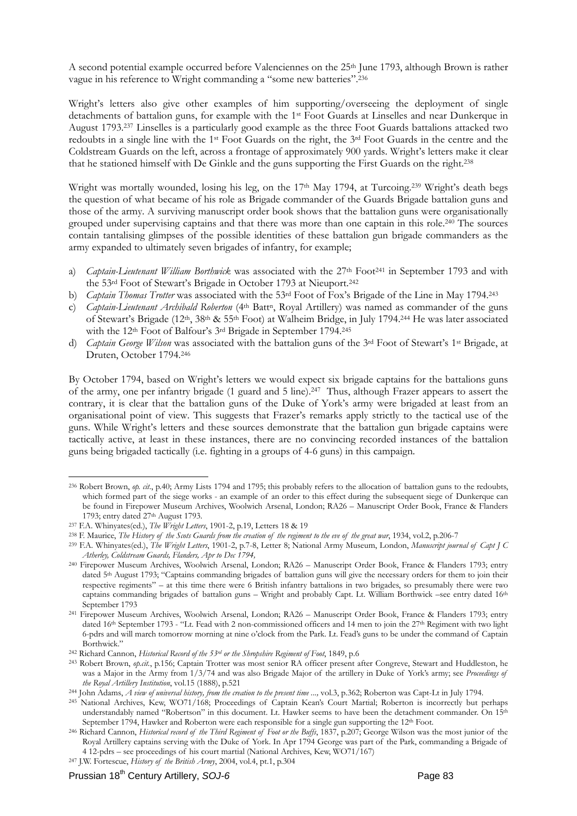A second potential example occurred before Valenciennes on the 25th June 1793, although Brown is rather vague in his reference to Wright commanding a "some new batteries".236

Wright's letters also give other examples of him supporting/overseeing the deployment of single detachments of battalion guns, for example with the 1st Foot Guards at Linselles and near Dunkerque in August 1793.237 Linselles is a particularly good example as the three Foot Guards battalions attacked two redoubts in a single line with the 1st Foot Guards on the right, the 3rd Foot Guards in the centre and the Coldstream Guards on the left, across a frontage of approximately 900 yards. Wright's letters make it clear that he stationed himself with De Ginkle and the guns supporting the First Guards on the right.238

Wright was mortally wounded, losing his leg, on the  $17<sup>th</sup>$  May 1794, at Turcoing.<sup>239</sup> Wright's death begs the question of what became of his role as Brigade commander of the Guards Brigade battalion guns and those of the army. A surviving manuscript order book shows that the battalion guns were organisationally grouped under supervising captains and that there was more than one captain in this role.240 The sources contain tantalising glimpses of the possible identities of these battalion gun brigade commanders as the army expanded to ultimately seven brigades of infantry, for example;

- a) *Captain-Lieutenant William Borthwick* was associated with the 27<sup>th</sup> Foot<sup>241</sup> in September 1793 and with the 53rd Foot of Stewart's Brigade in October 1793 at Nieuport.242
- b) *Captain Thomas Trotter* was associated with the 53rd Foot of Fox's Brigade of the Line in May 1794.243
- c) *Captain-Lieutenant Archibald Roberton* (4<sup>th</sup> Batt<sup>n</sup>, Royal Artillery) was named as commander of the guns of Stewart's Brigade (12th, 38th & 55th Foot) at Walheim Bridge, in July 1794.244 He was later associated with the 12<sup>th</sup> Foot of Balfour's 3<sup>rd</sup> Brigade in September 1794.<sup>245</sup>
- d) *Captain George Wilson* was associated with the battalion guns of the 3rd Foot of Stewart's 1st Brigade, at Druten, October 1794.246

By October 1794, based on Wright's letters we would expect six brigade captains for the battalions guns of the army, one per infantry brigade (1 guard and 5 line).247 Thus, although Frazer appears to assert the contrary, it is clear that the battalion guns of the Duke of York's army were brigaded at least from an organisational point of view. This suggests that Frazer's remarks apply strictly to the tactical use of the guns. While Wright's letters and these sources demonstrate that the battalion gun brigade captains were tactically active, at least in these instances, there are no convincing recorded instances of the battalion guns being brigaded tactically (i.e. fighting in a groups of 4-6 guns) in this campaign.

<sup>&</sup>lt;u>.</u> 236 Robert Brown, *op. cit*., p.40; Army Lists 1794 and 1795; this probably refers to the allocation of battalion guns to the redoubts, which formed part of the siege works - an example of an order to this effect during the subsequent siege of Dunkerque can be found in Firepower Museum Archives, Woolwich Arsenal, London; RA26 – Manuscript Order Book, France & Flanders 1793; entry dated 27<sup>th</sup> August 1793.<br><sup>237</sup> F.A. Whinyates(ed.), *The Wright Letters*, 1901-2, p.19, Letters 18 & 19<br><sup>238</sup> F. Maurice, *The History of the Scots Guards from the creation of the regiment to the eve of the gr* 

*Atherley, Coldstream Guards, Flanders, Apr to Dec 1794,*

<sup>240</sup> Firepower Museum Archives, Woolwich Arsenal, London; RA26 – Manuscript Order Book, France & Flanders 1793; entry dated 5<sup>th</sup> August 1793; "Captains commanding brigades of battalion guns will give the necessary orders for them to join their respective regiments" – at this time there were 6 British infantry battalions in two brigades, so presumably there were two captains commanding brigades of battalion guns – Wright and probably Capt. Lt. William Borthwick –see entry dated 16th

September 1793 241 Firepower Museum Archives, Woolwich Arsenal, London; RA26 – Manuscript Order Book, France & Flanders 1793; entry dated 16<sup>th</sup> September 1793 - "Lt. Fead with 2 non-commissioned officers and 14 men to join the 27<sup>th</sup> Regiment with two light 6-pdrs and will march tomorrow morning at nine o'clock from the Park. Lt. Fead's guns to be under the command of Captain Borthwick."<br><sup>242</sup> Richard Cannon, *Historical Record of the 53<sup>rd</sup> or the Shropshire Regiment of Foot*, 1849, p.6<br><sup>243</sup> Robert Brown, *op.cit.*, p.156; Captain Trotter was most senior RA officer present after Congreve, Ste

was a Major in the Army from 1/3/74 and was also Brigade Major of the artillery in Duke of York's army; see *Proceedings of* 

<sup>&</sup>lt;sup>244</sup> John Adams, *A view of universal history, from the creation to the present time* ..., vol.3, p.362; Roberton was Capt-Lt in July 1794.<br><sup>245</sup> National Archives, Kew, WO71/168; Proceedings of Captain Kean's Court Marti understandably named "Robertson" in this document. Lt. Hawker seems to have been the detachment commander. On 15th

September 1794, Hawker and Roberton were each responsible for a single gun supporting the 12<sup>th</sup> Foot.<br><sup>246</sup> Richard Cannon, *Historical record of the Third Regiment of Foot or the Buffs*, 1837, p.207; George Wilson was th Royal Artillery captains serving with the Duke of York. In Apr 1794 George was part of the Park, commanding a Brigade of 4 12-pdrs – see proceedings of his court martial (National Archives, Kew, WO71/167) 247 J.W. Fortescue, *History of the British Army*, 2004, vol.4, pt.1, p.304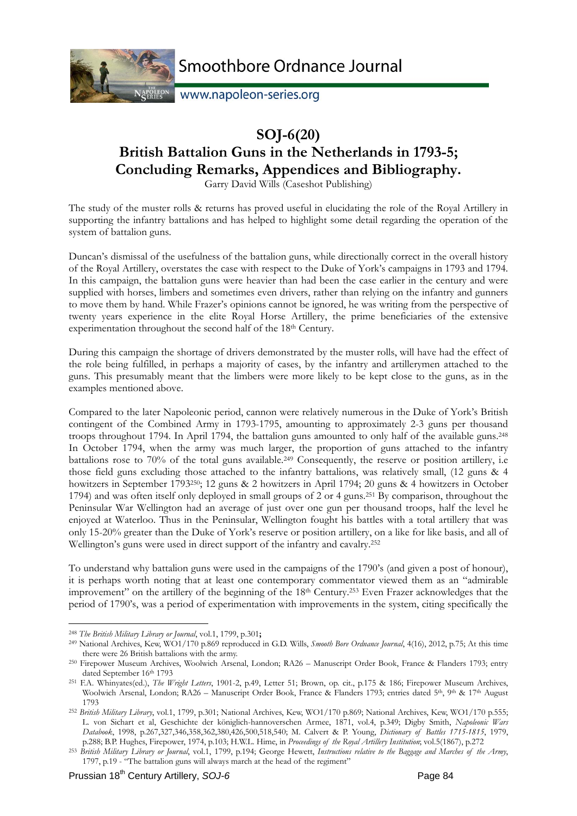

www.napoleon-series.org

# **SOJ-6(20)**

# **British Battalion Guns in the Netherlands in 1793-5; Concluding Remarks, Appendices and Bibliography.**

Garry David Wills (Caseshot Publishing)

The study of the muster rolls & returns has proved useful in elucidating the role of the Royal Artillery in supporting the infantry battalions and has helped to highlight some detail regarding the operation of the system of battalion guns.

Duncan's dismissal of the usefulness of the battalion guns, while directionally correct in the overall history of the Royal Artillery, overstates the case with respect to the Duke of York's campaigns in 1793 and 1794. In this campaign, the battalion guns were heavier than had been the case earlier in the century and were supplied with horses, limbers and sometimes even drivers, rather than relying on the infantry and gunners to move them by hand. While Frazer's opinions cannot be ignored, he was writing from the perspective of twenty years experience in the elite Royal Horse Artillery, the prime beneficiaries of the extensive experimentation throughout the second half of the 18<sup>th</sup> Century.

During this campaign the shortage of drivers demonstrated by the muster rolls, will have had the effect of the role being fulfilled, in perhaps a majority of cases, by the infantry and artillerymen attached to the guns. This presumably meant that the limbers were more likely to be kept close to the guns, as in the examples mentioned above.

Compared to the later Napoleonic period, cannon were relatively numerous in the Duke of York's British contingent of the Combined Army in 1793-1795, amounting to approximately 2-3 guns per thousand troops throughout 1794. In April 1794, the battalion guns amounted to only half of the available guns.248 In October 1794, when the army was much larger, the proportion of guns attached to the infantry battalions rose to 70% of the total guns available.249 Consequently, the reserve or position artillery, i.e those field guns excluding those attached to the infantry battalions, was relatively small, (12 guns & 4 howitzers in September 1793250; 12 guns & 2 howitzers in April 1794; 20 guns & 4 howitzers in October 1794) and was often itself only deployed in small groups of 2 or 4 guns.251 By comparison, throughout the Peninsular War Wellington had an average of just over one gun per thousand troops, half the level he enjoyed at Waterloo. Thus in the Peninsular, Wellington fought his battles with a total artillery that was only 15-20% greater than the Duke of York's reserve or position artillery, on a like for like basis, and all of Wellington's guns were used in direct support of the infantry and cavalry.252

To understand why battalion guns were used in the campaigns of the 1790's (and given a post of honour), it is perhaps worth noting that at least one contemporary commentator viewed them as an "admirable improvement" on the artillery of the beginning of the 18th Century.253 Even Frazer acknowledges that the period of 1790's, was a period of experimentation with improvements in the system, citing specifically the

<sup>&</sup>lt;u>.</u> <sup>248</sup> *The British Military Library or Journal*, vol.1, 1799, p.301**;** 

<sup>249</sup> National Archives, Kew, WO1/170 p.869 reproduced in G.D. Wills, *Smooth Bore Ordnance Journal*, 4(16), 2012, p.75; At this time

there were 26 British battalions with the army.<br><sup>250</sup> Firepower Museum Archives, Woolwich Arsenal, London; RA26 – Manuscript Order Book, France & Flanders 1793; entry<br>dated September 16<sup>th</sup> 1793

<sup>&</sup>lt;sup>251</sup> F.A. Whinyates(ed.), *The Wright Letters*, 1901-2, p.49, Letter 51; Brown, op. cit., p.175 & 186; Firepower Museum Archives, Woolwich Arsenal, London; RA26 – Manuscript Order Book, France & Flanders 1793; entries dated 5<sup>th</sup>, 9th & 17th August 1793 252 *British Military Library*, vol.1, 1799, p.301; National Archives, Kew, WO1/170 p.869; National Archives, Kew, WO1/170 p.555;

L. von Sichart et al, Geschichte der königlich-hannoverschen Armee, 1871, vol.4, p.349; Digby Smith, *Napoleonic Wars Databook*, 1998, p.267,327,346,358,362,380,426,500,518,540; M. Calvert & P. Young, *Dictionary of Battles 1715-1815*, 1979,

p.288; B.P. Hughes, Firepower, 1974, p.103; H.W.L. Hime, in Proceedings of the Royal Artillery Institution; vol.5(1867), p.272<br><sup>253</sup> British Military Library or Journal, vol.1, 1799, p.194; George Hewett, Instructions rela 1797, p.19 - "The battalion guns will always march at the head of the regiment"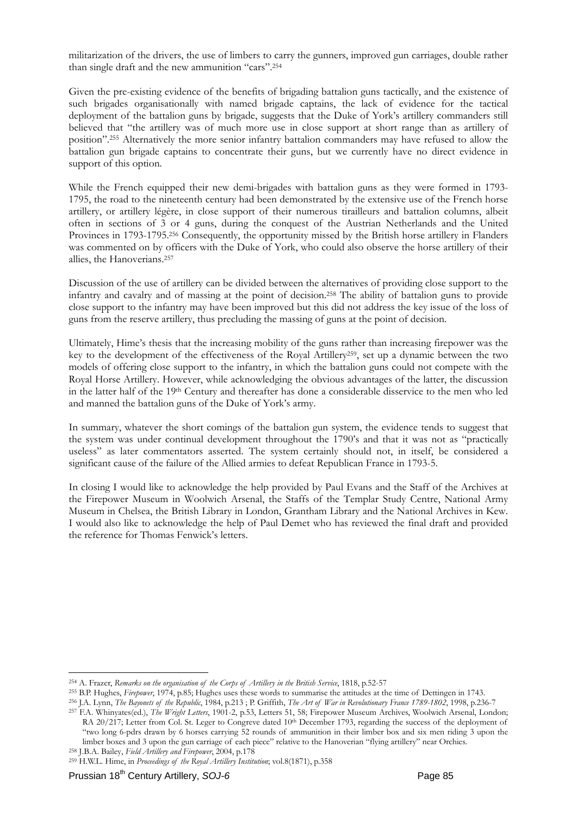militarization of the drivers, the use of limbers to carry the gunners, improved gun carriages, double rather than single draft and the new ammunition "cars".254

Given the pre-existing evidence of the benefits of brigading battalion guns tactically, and the existence of such brigades organisationally with named brigade captains, the lack of evidence for the tactical deployment of the battalion guns by brigade, suggests that the Duke of York's artillery commanders still believed that "the artillery was of much more use in close support at short range than as artillery of position".255 Alternatively the more senior infantry battalion commanders may have refused to allow the battalion gun brigade captains to concentrate their guns, but we currently have no direct evidence in support of this option.

While the French equipped their new demi-brigades with battalion guns as they were formed in 1793- 1795, the road to the nineteenth century had been demonstrated by the extensive use of the French horse artillery, or artillery légère, in close support of their numerous tirailleurs and battalion columns, albeit often in sections of 3 or 4 guns, during the conquest of the Austrian Netherlands and the United Provinces in 1793-1795.<sup>256</sup> Consequently, the opportunity missed by the British horse artillery in Flanders was commented on by officers with the Duke of York, who could also observe the horse artillery of their allies, the Hanoverians.257

Discussion of the use of artillery can be divided between the alternatives of providing close support to the infantry and cavalry and of massing at the point of decision.258 The ability of battalion guns to provide close support to the infantry may have been improved but this did not address the key issue of the loss of guns from the reserve artillery, thus precluding the massing of guns at the point of decision.

Ultimately, Hime's thesis that the increasing mobility of the guns rather than increasing firepower was the key to the development of the effectiveness of the Royal Artillery259, set up a dynamic between the two models of offering close support to the infantry, in which the battalion guns could not compete with the Royal Horse Artillery. However, while acknowledging the obvious advantages of the latter, the discussion in the latter half of the 19<sup>th</sup> Century and thereafter has done a considerable disservice to the men who led and manned the battalion guns of the Duke of York's army.

In summary, whatever the short comings of the battalion gun system, the evidence tends to suggest that the system was under continual development throughout the 1790's and that it was not as "practically useless" as later commentators asserted. The system certainly should not, in itself, be considered a significant cause of the failure of the Allied armies to defeat Republican France in 1793-5.

In closing I would like to acknowledge the help provided by Paul Evans and the Staff of the Archives at the Firepower Museum in Woolwich Arsenal, the Staffs of the Templar Study Centre, National Army Museum in Chelsea, the British Library in London, Grantham Library and the National Archives in Kew. I would also like to acknowledge the help of Paul Demet who has reviewed the final draft and provided the reference for Thomas Fenwick's letters.

limber boxes and 3 upon the gun carriage of each piece" relative to the Hanoverian "flying artillery" near Orchies. 258 J.B.A. Bailey, *Field Artillery and Firepower*, 2004, p.178

<sup>&</sup>lt;sup>254</sup> A. Frazer, Remarks on the organisation of the Corps of Artillery in the British Service, 1818, p.52-57<br><sup>255</sup> B.P. Hughes, Firepower, 1974, p.85; Hughes uses these words to summarise the attitudes at the time of Detti RA 20/217; Letter from Col. St. Leger to Congreve dated 10<sup>th</sup> December 1793, regarding the success of the deployment of "two long 6-pdrs drawn by 6 horses carrying 52 rounds of ammunition in their limber box and six men riding 3 upon the

<sup>259</sup> H.W.L. Hime, in *Proceedings of the Royal Artillery Institution*; vol.8(1871), p.358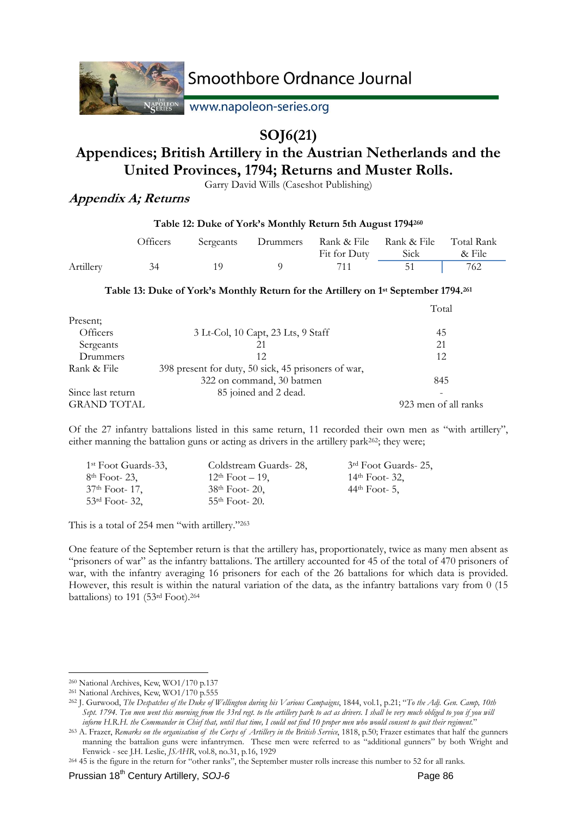

Nergitron www.napoleon-series.org

## **SOJ6(21)**

# **Appendices; British Artillery in the Austrian Netherlands and the United Provinces, 1794; Returns and Muster Rolls.**

Garry David Wills (Caseshot Publishing)

### **Appendix A; Returns**

| 1 able 12: Duke of York's Monthly Return 5th August 1/94200 |          |           |          |              |                                 |                      |  |
|-------------------------------------------------------------|----------|-----------|----------|--------------|---------------------------------|----------------------|--|
|                                                             | Officers | Sergeants | Drummers | Fit for Duty | Rank & File Rank & File<br>Sick | Total Rank<br>& File |  |
| Artillery                                                   | 34       | 1 O       |          | 711          | 51                              | 762                  |  |

**Table 12: Duke of York's Monthly Return 5th August 1794260**

### **Table 13: Duke of York's Monthly Return for the Artillery on 1st September 1794.261**

|                    |                                                     | Total                |
|--------------------|-----------------------------------------------------|----------------------|
| Present;           |                                                     |                      |
| Officers           | 3 Lt-Col, 10 Capt, 23 Lts, 9 Staff                  | 45                   |
| Sergeants          | 21                                                  | 21                   |
| Drummers           | 12                                                  | 12                   |
| Rank & File        | 398 present for duty, 50 sick, 45 prisoners of war, |                      |
|                    | 322 on command, 30 batmen                           | 845                  |
| Since last return  | 85 joined and 2 dead.                               |                      |
| <b>GRAND TOTAL</b> |                                                     | 923 men of all ranks |

Of the 27 infantry battalions listed in this same return, 11 recorded their own men as "with artillery", either manning the battalion guns or acting as drivers in the artillery park262; they were;

| 1 <sup>st</sup> Foot Guards-33, | Coldstream Guards-28, | 3 <sup>rd</sup> Foot Guards- 25, |
|---------------------------------|-----------------------|----------------------------------|
| 8 <sup>th</sup> Foot- 23,       | $12th$ Foot $-19$ ,   | $14th$ Foot- 32,                 |
| 37 <sup>th</sup> Foot- 17.      | $38th$ Foot- 20,      | $44th$ Foot- 5,                  |
| 53 <sup>rd</sup> Foot-32,       | $55th$ Foot- 20.      |                                  |

This is a total of 254 men "with artillery."263

One feature of the September return is that the artillery has, proportionately, twice as many men absent as "prisoners of war" as the infantry battalions. The artillery accounted for 45 of the total of 470 prisoners of war, with the infantry averaging 16 prisoners for each of the 26 battalions for which data is provided. However, this result is within the natural variation of the data, as the infantry battalions vary from 0 (15 battalions) to 191 (53rd Foot).264

<sup>&</sup>lt;u>.</u>

<sup>&</sup>lt;sup>260</sup> National Archives, Kew, WO1/170 p.137<br><sup>261</sup> National Archives, Kew, WO1/170 p.555<br><sup>262</sup> J. Gurwood, *The Despatches of the Duke of Wellington during his Various Campaigns*, 1844, vol.1, p.21; "To the Adj. Gen. Camp, *Sept. 1794. Ten men went this morning from the 33rd regt. to the artillery park to act as drivers. I shall be very much obliged to you if you will* 

inform H.R.H. the Commander in Chief that, until that time, I could not find 10 proper men who would consent to quit their regiment."<br><sup>263</sup> A. Frazer, Remarks on the organisation of the Corps of Artillery in the British Se manning the battalion guns were infantrymen. These men were referred to as "additional gunners" by both Wright and Fenwick - see J.H. Leslie, JSAHR, vol.8, no.31, p.16, 1929

<sup>&</sup>lt;sup>264</sup> 45 is the figure in the return for "other ranks", the September muster rolls increase this number to 52 for all ranks.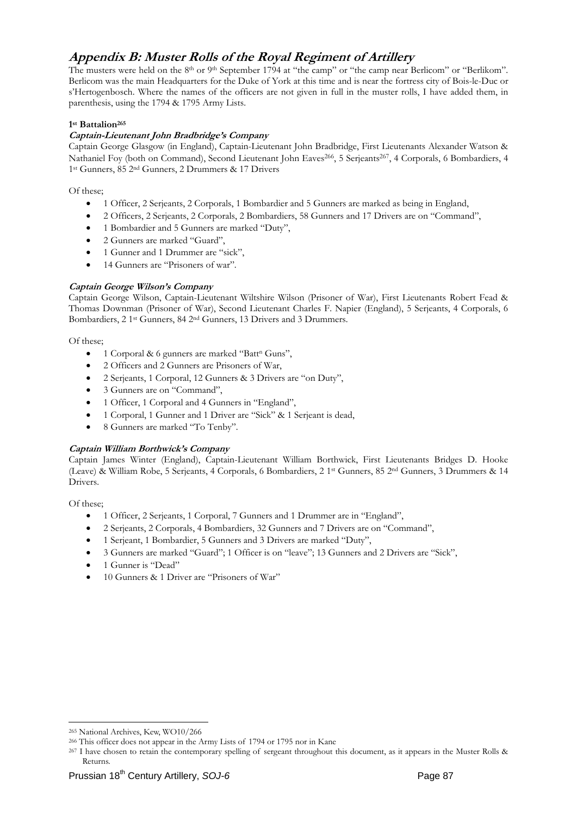### **Appendix B: Muster Rolls of the Royal Regiment of Artillery**

The musters were held on the 8<sup>th</sup> or 9<sup>th</sup> September 1794 at "the camp" or "the camp near Berlicom" or "Berlikom". Berlicom was the main Headquarters for the Duke of York at this time and is near the fortress city of Bois-le-Duc or s'Hertogenbosch. Where the names of the officers are not given in full in the muster rolls, I have added them, in parenthesis, using the 1794 & 1795 Army Lists.

#### **1st Battalion265**

#### **Captain-Lieutenant John Bradbridge's Company**

Captain George Glasgow (in England), Captain-Lieutenant John Bradbridge, First Lieutenants Alexander Watson & Nathaniel Foy (both on Command), Second Lieutenant John Eaves<sup>266</sup>, 5 Serjeants<sup>267</sup>, 4 Corporals, 6 Bombardiers, 4 1st Gunners, 85 2nd Gunners, 2 Drummers & 17 Drivers

Of these;

- 1 Officer, 2 Serjeants, 2 Corporals, 1 Bombardier and 5 Gunners are marked as being in England,
- 2 Officers, 2 Serjeants, 2 Corporals, 2 Bombardiers, 58 Gunners and 17 Drivers are on "Command",
- 1 Bombardier and 5 Gunners are marked "Duty",
- 2 Gunners are marked "Guard",
- 1 Gunner and 1 Drummer are "sick",
- 14 Gunners are "Prisoners of war".

#### **Captain George Wilson's Company**

Captain George Wilson, Captain-Lieutenant Wiltshire Wilson (Prisoner of War), First Lieutenants Robert Fead & Thomas Downman (Prisoner of War), Second Lieutenant Charles F. Napier (England), 5 Serjeants, 4 Corporals, 6 Bombardiers, 2 1st Gunners, 84 2nd Gunners, 13 Drivers and 3 Drummers.

Of these;

- 1 Corporal & 6 gunners are marked "Batt<sup>n</sup> Guns",
- 2 Officers and 2 Gunners are Prisoners of War,
- 2 Serieants, 1 Corporal, 12 Gunners & 3 Drivers are "on Duty".
- 3 Gunners are on "Command",
- 1 Officer, 1 Corporal and 4 Gunners in "England",
- 1 Corporal, 1 Gunner and 1 Driver are "Sick" & 1 Serjeant is dead,
- 8 Gunners are marked "To Tenby".

#### **Captain William Borthwick's Company**

Captain James Winter (England), Captain-Lieutenant William Borthwick, First Lieutenants Bridges D. Hooke (Leave) & William Robe, 5 Serjeants, 4 Corporals, 6 Bombardiers, 2 1st Gunners, 85 2nd Gunners, 3 Drummers & 14 Drivers.

Of these;

- 1 Officer, 2 Serjeants, 1 Corporal, 7 Gunners and 1 Drummer are in "England",
- 2 Serjeants, 2 Corporals, 4 Bombardiers, 32 Gunners and 7 Drivers are on "Command",
- 1 Serjeant, 1 Bombardier, 5 Gunners and 3 Drivers are marked "Duty",
- 3 Gunners are marked "Guard"; 1 Officer is on "leave"; 13 Gunners and 2 Drivers are "Sick",
- 1 Gunner is "Dead"
- 10 Gunners & 1 Driver are "Prisoners of War"

<sup>&</sup>lt;u>.</u>

<sup>&</sup>lt;sup>265</sup> National Archives, Kew, WO10/266<br><sup>266</sup> This officer does not appear in the Army Lists of 1794 or 1795 nor in Kane<br><sup>267</sup> I have chosen to retain the contemporary spelling of sergeant throughout this document, as it ap Returns.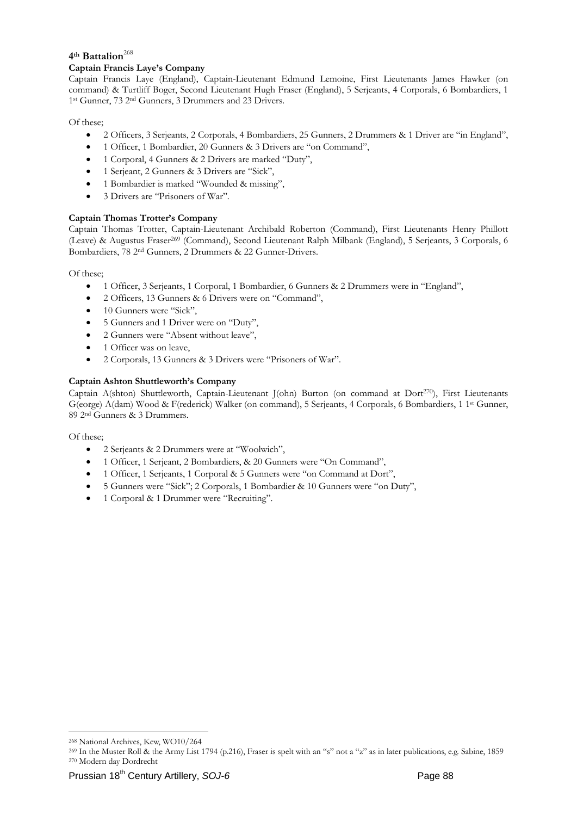### 4<sup>th</sup> Battalion<sup>268</sup>

#### **Captain Francis Laye's Company**

Captain Francis Laye (England), Captain-Lieutenant Edmund Lemoine, First Lieutenants James Hawker (on command) & Turtliff Boger, Second Lieutenant Hugh Fraser (England), 5 Serjeants, 4 Corporals, 6 Bombardiers, 1 1st Gunner, 73 2nd Gunners, 3 Drummers and 23 Drivers.

Of these;

- 2 Officers, 3 Serjeants, 2 Corporals, 4 Bombardiers, 25 Gunners, 2 Drummers & 1 Driver are "in England",
- 1 Officer, 1 Bombardier, 20 Gunners & 3 Drivers are "on Command",
- 1 Corporal, 4 Gunners & 2 Drivers are marked "Duty",
- 1 Serjeant, 2 Gunners & 3 Drivers are "Sick",
- 1 Bombardier is marked "Wounded & missing",
- 3 Drivers are "Prisoners of War".

#### **Captain Thomas Trotter's Company**

Captain Thomas Trotter, Captain-Lieutenant Archibald Roberton (Command), First Lieutenants Henry Phillott (Leave) & Augustus Fraser269 (Command), Second Lieutenant Ralph Milbank (England), 5 Serjeants, 3 Corporals, 6 Bombardiers, 78 2nd Gunners, 2 Drummers & 22 Gunner-Drivers.

Of these;

- 1 Officer, 3 Serjeants, 1 Corporal, 1 Bombardier, 6 Gunners & 2 Drummers were in "England",
- 2 Officers, 13 Gunners & 6 Drivers were on "Command",
- 10 Gunners were "Sick".
- 5 Gunners and 1 Driver were on "Duty",
- 2 Gunners were "Absent without leave",
- 1 Officer was on leave,
- 2 Corporals, 13 Gunners & 3 Drivers were "Prisoners of War".

#### **Captain Ashton Shuttleworth's Company**

Captain A(shton) Shuttleworth, Captain-Lieutenant J(ohn) Burton (on command at Dort270), First Lieutenants G(eorge) A(dam) Wood & F(rederick) Walker (on command), 5 Serjeants, 4 Corporals, 6 Bombardiers, 1 1st Gunner, 89 2nd Gunners & 3 Drummers.

Of these;

- 2 Serjeants & 2 Drummers were at "Woolwich",
- 1 Officer, 1 Serjeant, 2 Bombardiers, & 20 Gunners were "On Command",
- 1 Officer, 1 Serjeants, 1 Corporal & 5 Gunners were "on Command at Dort",
- 5 Gunners were "Sick"; 2 Corporals, 1 Bombardier & 10 Gunners were "on Duty",
- 1 Corporal & 1 Drummer were "Recruiting".

<sup>&</sup>lt;sup>268</sup> National Archives, Kew, WO10/264<br><sup>269</sup> In the Muster Roll & the Army List 1794 (p.216), Fraser is spelt with an "s" not a "z" as in later publications, e.g. Sabine, 1859<br><sup>270</sup> Modern day Dordrecht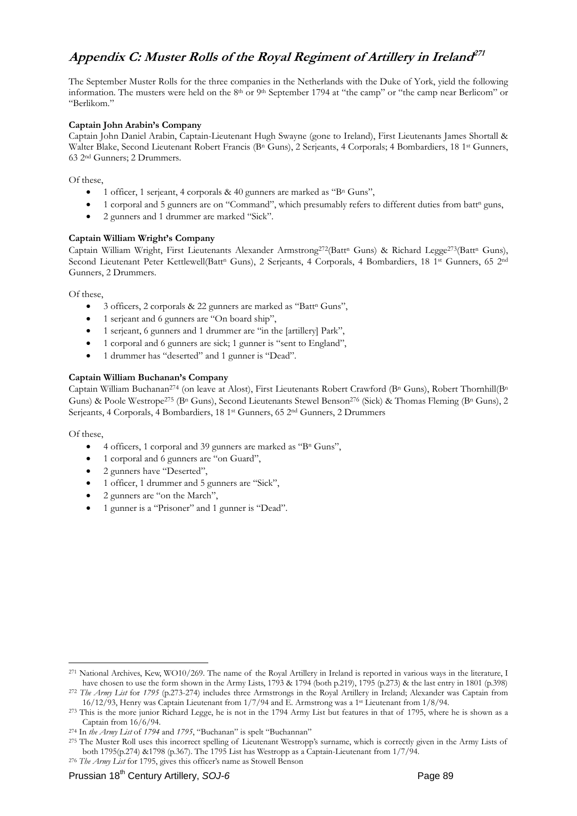## **Appendix C: Muster Rolls of the Royal Regiment of Artillery in Ireland<sup>271</sup>**

The September Muster Rolls for the three companies in the Netherlands with the Duke of York, yield the following information. The musters were held on the 8<sup>th</sup> or 9<sup>th</sup> September 1794 at "the camp" or "the camp near Berlicom" or "Berlikom."

#### **Captain John Arabin's Company**

Captain John Daniel Arabin, Captain-Lieutenant Hugh Swayne (gone to Ireland), First Lieutenants James Shortall & Walter Blake, Second Lieutenant Robert Francis (B<sup>n</sup> Guns), 2 Serjeants, 4 Corporals; 4 Bombardiers, 18 1<sup>st</sup> Gunners, 63 2nd Gunners; 2 Drummers.

Of these,

- 1 officer, 1 serjeant, 4 corporals  $& 40$  gunners are marked as "B<sup>n</sup> Guns",
- 1 corporal and 5 gunners are on "Command", which presumably refers to different duties from batt<sup>n</sup> guns,
- 2 gunners and 1 drummer are marked "Sick".

#### **Captain William Wright's Company**

Captain William Wright, First Lieutenants Alexander Armstrong<sup>272</sup>(Batt<sup>n</sup> Guns) & Richard Legge<sup>273</sup>(Batt<sup>n</sup> Guns), Second Lieutenant Peter Kettlewell(Batt<sup>n</sup> Guns), 2 Serjeants, 4 Corporals, 4 Bombardiers, 18 1<sup>st</sup> Gunners, 65 2<sup>nd</sup> Gunners, 2 Drummers.

Of these,

- $\bullet$  3 officers, 2 corporals & 22 gunners are marked as "Batt" Guns",
- 1 serjeant and 6 gunners are "On board ship",
- 1 serjeant, 6 gunners and 1 drummer are "in the [artillery] Park",
- 1 corporal and 6 gunners are sick; 1 gunner is "sent to England",
- 1 drummer has "deserted" and 1 gunner is "Dead".

#### **Captain William Buchanan's Company**

Captain William Buchanan<sup>274</sup> (on leave at Alost), First Lieutenants Robert Crawford (B<sup>n</sup> Guns), Robert Thornhill(B<sup>n</sup> Guns) & Poole Westrope<sup>275</sup> (B<sup>n</sup> Guns), Second Lieutenants Stewel Benson<sup>276</sup> (Sick) & Thomas Fleming (B<sup>n</sup> Guns), 2 Serjeants, 4 Corporals, 4 Bombardiers, 18 1st Gunners, 65 2nd Gunners, 2 Drummers

Of these,

- 4 officers, 1 corporal and 39 gunners are marked as "Bn Guns",
- 1 corporal and 6 gunners are "on Guard",
- 2 gunners have "Deserted",
- 1 officer, 1 drummer and 5 gunners are "Sick",
- 2 gunners are "on the March",
- 1 gunner is a "Prisoner" and 1 gunner is "Dead".

<sup>&</sup>lt;sup>271</sup> National Archives, Kew, WO10/269. The name of the Royal Artillery in Ireland is reported in various ways in the literature, I have chosen to use the form shown in the Army Lists, 1793 & 1794 (both p.219), 1795 (p.27

<sup>272</sup> The Army List for 1795 (p.273-274) includes three Armstrongs in the Royal Artillery in Ireland; Alexander was Captain from 16/12/93, Henry was Captain Lieutenant from 1/7/94 and E. Armstrong was a 1<sup>st</sup> Lieutenant from 1/8/94.<br><sup>273</sup> This is the more junior Richard Legge, he is not in the 1794 Army List but features in that of 1795, where he is

Captain from 16/6/94.<br><sup>274</sup> In *the Army List* of 1794 and 1795, "Buchanan" is spelt "Buchannan"<br><sup>275</sup> The Muster Roll uses this incorrect spelling of Lieutenant Westropp's surname, which is correctly given in the Army Lis

both 1795(p.274) &1798 (p.367). The 1795 List has Westropp as a Captain-Lieutenant from 1/7/94. 276 *The Army List* for 1795, gives this officer's name as Stowell Benson